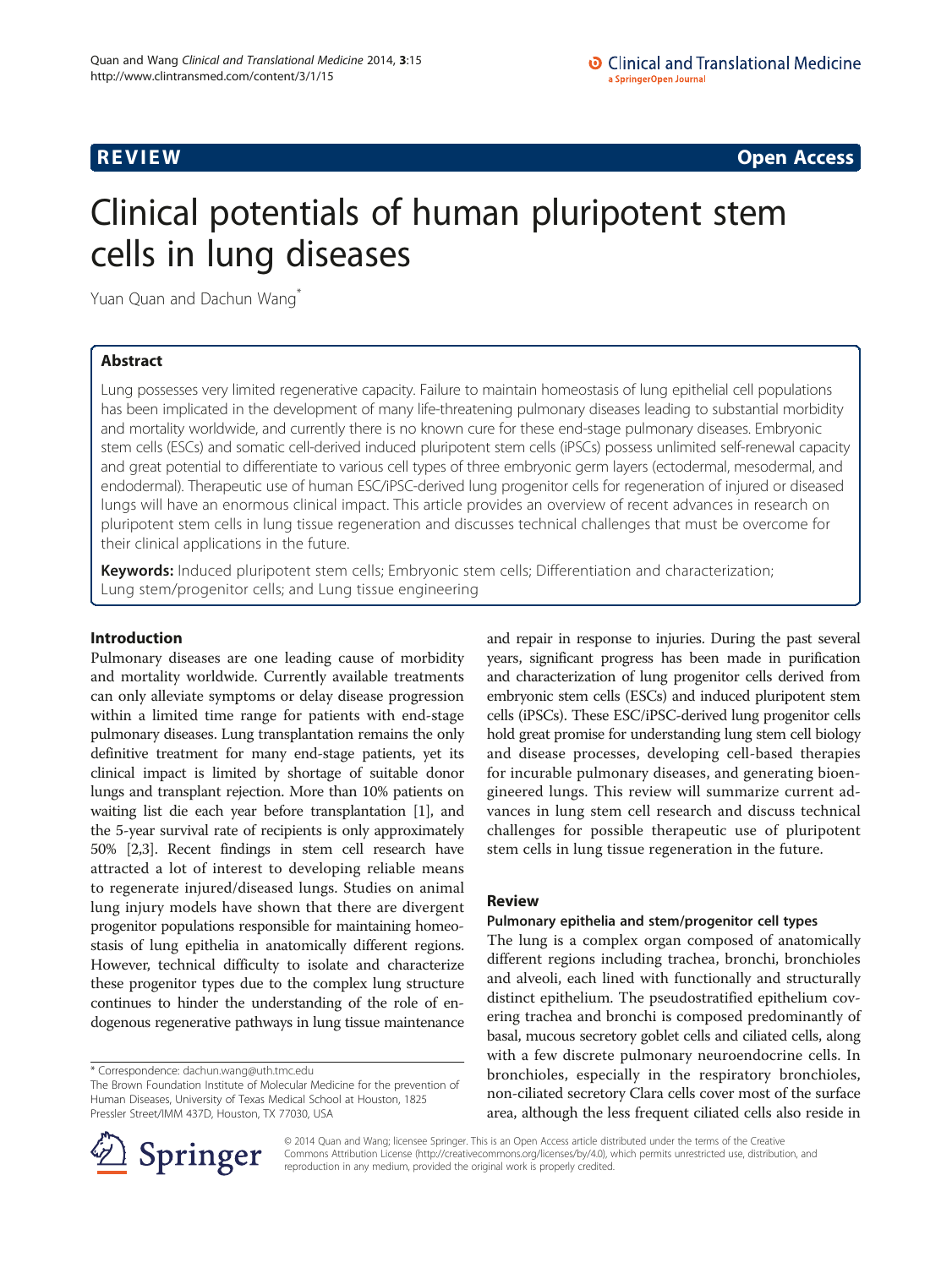**REVIEW CONSTRUCTION CONSTRUCTION CONSTRUCTS** 

# Clinical potentials of human pluripotent stem cells in lung diseases

Yuan Quan and Dachun Wang<sup>\*</sup>

# Abstract

Lung possesses very limited regenerative capacity. Failure to maintain homeostasis of lung epithelial cell populations has been implicated in the development of many life-threatening pulmonary diseases leading to substantial morbidity and mortality worldwide, and currently there is no known cure for these end-stage pulmonary diseases. Embryonic stem cells (ESCs) and somatic cell-derived induced pluripotent stem cells (iPSCs) possess unlimited self-renewal capacity and great potential to differentiate to various cell types of three embryonic germ layers (ectodermal, mesodermal, and endodermal). Therapeutic use of human ESC/iPSC-derived lung progenitor cells for regeneration of injured or diseased lungs will have an enormous clinical impact. This article provides an overview of recent advances in research on pluripotent stem cells in lung tissue regeneration and discusses technical challenges that must be overcome for their clinical applications in the future.

Keywords: Induced pluripotent stem cells; Embryonic stem cells; Differentiation and characterization; Lung stem/progenitor cells; and Lung tissue engineering

# Introduction

Pulmonary diseases are one leading cause of morbidity and mortality worldwide. Currently available treatments can only alleviate symptoms or delay disease progression within a limited time range for patients with end-stage pulmonary diseases. Lung transplantation remains the only definitive treatment for many end-stage patients, yet its clinical impact is limited by shortage of suitable donor lungs and transplant rejection. More than 10% patients on waiting list die each year before transplantation [[1](#page-5-0)], and the 5-year survival rate of recipients is only approximately 50% [\[2,3\]](#page-5-0). Recent findings in stem cell research have attracted a lot of interest to developing reliable means to regenerate injured/diseased lungs. Studies on animal lung injury models have shown that there are divergent progenitor populations responsible for maintaining homeostasis of lung epithelia in anatomically different regions. However, technical difficulty to isolate and characterize these progenitor types due to the complex lung structure continues to hinder the understanding of the role of endogenous regenerative pathways in lung tissue maintenance

and repair in response to injuries. During the past several years, significant progress has been made in purification and characterization of lung progenitor cells derived from embryonic stem cells (ESCs) and induced pluripotent stem cells (iPSCs). These ESC/iPSC-derived lung progenitor cells hold great promise for understanding lung stem cell biology and disease processes, developing cell-based therapies for incurable pulmonary diseases, and generating bioengineered lungs. This review will summarize current advances in lung stem cell research and discuss technical challenges for possible therapeutic use of pluripotent stem cells in lung tissue regeneration in the future.

# Review

# Pulmonary epithelia and stem/progenitor cell types

The lung is a complex organ composed of anatomically different regions including trachea, bronchi, bronchioles and alveoli, each lined with functionally and structurally distinct epithelium. The pseudostratified epithelium covering trachea and bronchi is composed predominantly of basal, mucous secretory goblet cells and ciliated cells, along with a few discrete pulmonary neuroendocrine cells. In bronchioles, especially in the respiratory bronchioles, non-ciliated secretory Clara cells cover most of the surface area, although the less frequent ciliated cells also reside in



© 2014 Quan and Wang; licensee Springer. This is an Open Access article distributed under the terms of the Creative Commons Attribution License (<http://creativecommons.org/licenses/by/4.0>), which permits unrestricted use, distribution, and reproduction in any medium, provided the original work is properly credited.

<sup>\*</sup> Correspondence: [dachun.wang@uth.tmc.edu](mailto:dachun.wang@uth.tmc.edu)

The Brown Foundation Institute of Molecular Medicine for the prevention of Human Diseases, University of Texas Medical School at Houston, 1825 Pressler Street/IMM 437D, Houston, TX 77030, USA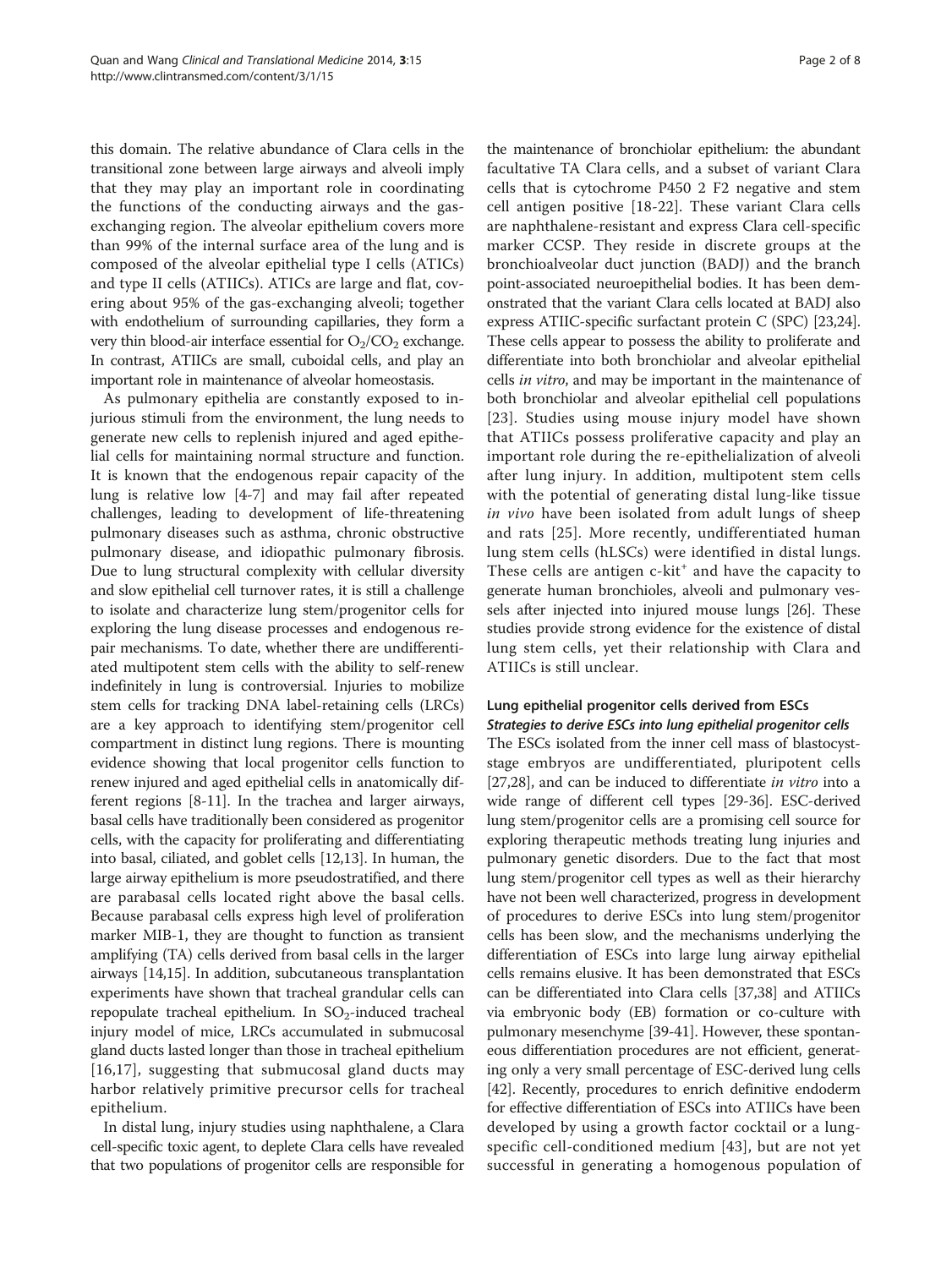this domain. The relative abundance of Clara cells in the transitional zone between large airways and alveoli imply that they may play an important role in coordinating the functions of the conducting airways and the gasexchanging region. The alveolar epithelium covers more than 99% of the internal surface area of the lung and is composed of the alveolar epithelial type I cells (ATICs) and type II cells (ATIICs). ATICs are large and flat, covering about 95% of the gas-exchanging alveoli; together with endothelium of surrounding capillaries, they form a very thin blood-air interface essential for  $O_2/CO_2$  exchange. In contrast, ATIICs are small, cuboidal cells, and play an important role in maintenance of alveolar homeostasis.

As pulmonary epithelia are constantly exposed to injurious stimuli from the environment, the lung needs to generate new cells to replenish injured and aged epithelial cells for maintaining normal structure and function. It is known that the endogenous repair capacity of the lung is relative low [[4-7](#page-5-0)] and may fail after repeated challenges, leading to development of life-threatening pulmonary diseases such as asthma, chronic obstructive pulmonary disease, and idiopathic pulmonary fibrosis. Due to lung structural complexity with cellular diversity and slow epithelial cell turnover rates, it is still a challenge to isolate and characterize lung stem/progenitor cells for exploring the lung disease processes and endogenous repair mechanisms. To date, whether there are undifferentiated multipotent stem cells with the ability to self-renew indefinitely in lung is controversial. Injuries to mobilize stem cells for tracking DNA label-retaining cells (LRCs) are a key approach to identifying stem/progenitor cell compartment in distinct lung regions. There is mounting evidence showing that local progenitor cells function to renew injured and aged epithelial cells in anatomically different regions [\[8-11](#page-5-0)]. In the trachea and larger airways, basal cells have traditionally been considered as progenitor cells, with the capacity for proliferating and differentiating into basal, ciliated, and goblet cells [\[12,13\]](#page-5-0). In human, the large airway epithelium is more pseudostratified, and there are parabasal cells located right above the basal cells. Because parabasal cells express high level of proliferation marker MIB-1, they are thought to function as transient amplifying (TA) cells derived from basal cells in the larger airways [\[14,15\]](#page-5-0). In addition, subcutaneous transplantation experiments have shown that tracheal grandular cells can repopulate tracheal epithelium. In  $SO_2$ -induced tracheal injury model of mice, LRCs accumulated in submucosal gland ducts lasted longer than those in tracheal epithelium [[16](#page-5-0),[17\]](#page-5-0), suggesting that submucosal gland ducts may harbor relatively primitive precursor cells for tracheal epithelium.

In distal lung, injury studies using naphthalene, a Clara cell-specific toxic agent, to deplete Clara cells have revealed that two populations of progenitor cells are responsible for

the maintenance of bronchiolar epithelium: the abundant facultative TA Clara cells, and a subset of variant Clara cells that is cytochrome P450 2 F2 negative and stem cell antigen positive [[18](#page-5-0)-[22\]](#page-5-0). These variant Clara cells are naphthalene-resistant and express Clara cell-specific marker CCSP. They reside in discrete groups at the bronchioalveolar duct junction (BADJ) and the branch point-associated neuroepithelial bodies. It has been demonstrated that the variant Clara cells located at BADJ also express ATIIC-specific surfactant protein C (SPC) [\[23,24](#page-5-0)]. These cells appear to possess the ability to proliferate and differentiate into both bronchiolar and alveolar epithelial cells in vitro, and may be important in the maintenance of both bronchiolar and alveolar epithelial cell populations [[23](#page-5-0)]. Studies using mouse injury model have shown that ATIICs possess proliferative capacity and play an important role during the re-epithelialization of alveoli after lung injury. In addition, multipotent stem cells with the potential of generating distal lung-like tissue in vivo have been isolated from adult lungs of sheep and rats [\[25\]](#page-5-0). More recently, undifferentiated human lung stem cells (hLSCs) were identified in distal lungs. These cells are antigen  $c$ -kit<sup>+</sup> and have the capacity to generate human bronchioles, alveoli and pulmonary vessels after injected into injured mouse lungs [\[26\]](#page-5-0). These studies provide strong evidence for the existence of distal lung stem cells, yet their relationship with Clara and ATIICs is still unclear.

# Lung epithelial progenitor cells derived from ESCs

Strategies to derive ESCs into lung epithelial progenitor cells The ESCs isolated from the inner cell mass of blastocyststage embryos are undifferentiated, pluripotent cells [[27](#page-5-0),[28](#page-5-0)], and can be induced to differentiate in vitro into a wide range of different cell types [[29](#page-5-0)-[36](#page-6-0)]. ESC-derived lung stem/progenitor cells are a promising cell source for exploring therapeutic methods treating lung injuries and pulmonary genetic disorders. Due to the fact that most lung stem/progenitor cell types as well as their hierarchy have not been well characterized, progress in development of procedures to derive ESCs into lung stem/progenitor cells has been slow, and the mechanisms underlying the differentiation of ESCs into large lung airway epithelial cells remains elusive. It has been demonstrated that ESCs can be differentiated into Clara cells [\[37,38](#page-6-0)] and ATIICs via embryonic body (EB) formation or co-culture with pulmonary mesenchyme [[39-41\]](#page-6-0). However, these spontaneous differentiation procedures are not efficient, generating only a very small percentage of ESC-derived lung cells [[42](#page-6-0)]. Recently, procedures to enrich definitive endoderm for effective differentiation of ESCs into ATIICs have been developed by using a growth factor cocktail or a lungspecific cell-conditioned medium [[43\]](#page-6-0), but are not yet successful in generating a homogenous population of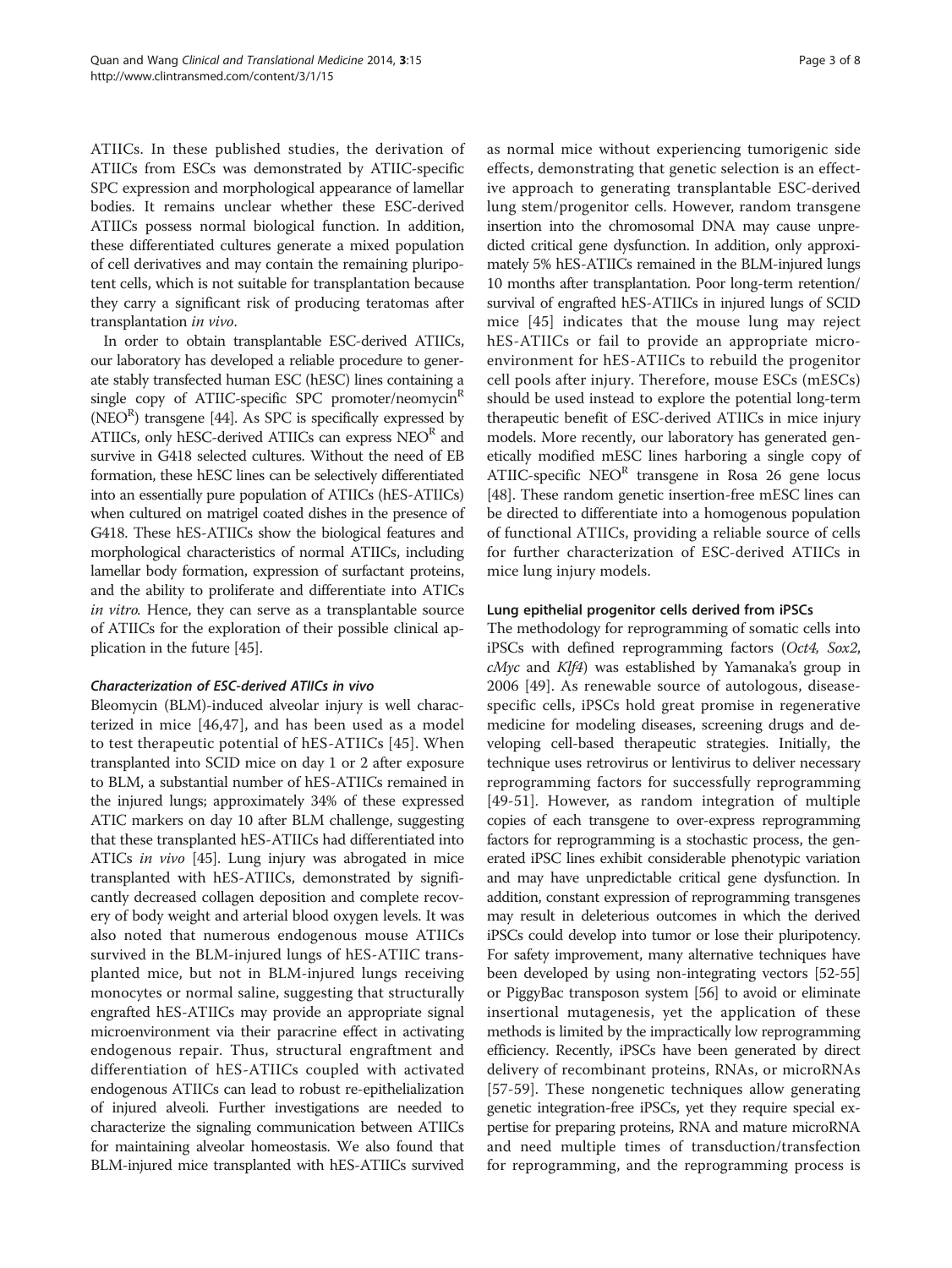ATIICs. In these published studies, the derivation of ATIICs from ESCs was demonstrated by ATIIC-specific SPC expression and morphological appearance of lamellar bodies. It remains unclear whether these ESC-derived ATIICs possess normal biological function. In addition, these differentiated cultures generate a mixed population of cell derivatives and may contain the remaining pluripotent cells, which is not suitable for transplantation because they carry a significant risk of producing teratomas after transplantation in vivo.

In order to obtain transplantable ESC-derived ATIICs, our laboratory has developed a reliable procedure to generate stably transfected human ESC (hESC) lines containing a single copy of ATIIC-specific SPC promoter/neomycin<sup>R</sup>  $(NEO<sup>R</sup>)$  transgene [\[44\]](#page-6-0). As SPC is specifically expressed by ATIICs, only hESC-derived ATIICs can express  $NEO<sup>R</sup>$  and survive in G418 selected cultures. Without the need of EB formation, these hESC lines can be selectively differentiated into an essentially pure population of ATIICs (hES-ATIICs) when cultured on matrigel coated dishes in the presence of G418. These hES-ATIICs show the biological features and morphological characteristics of normal ATIICs, including lamellar body formation, expression of surfactant proteins, and the ability to proliferate and differentiate into ATICs in vitro. Hence, they can serve as a transplantable source of ATIICs for the exploration of their possible clinical application in the future [[45](#page-6-0)].

# Characterization of ESC-derived ATIICs in vivo

Bleomycin (BLM)-induced alveolar injury is well characterized in mice [[46](#page-6-0),[47\]](#page-6-0), and has been used as a model to test therapeutic potential of hES-ATIICs [\[45](#page-6-0)]. When transplanted into SCID mice on day 1 or 2 after exposure to BLM, a substantial number of hES-ATIICs remained in the injured lungs; approximately 34% of these expressed ATIC markers on day 10 after BLM challenge, suggesting that these transplanted hES-ATIICs had differentiated into ATICs in vivo [\[45\]](#page-6-0). Lung injury was abrogated in mice transplanted with hES-ATIICs, demonstrated by significantly decreased collagen deposition and complete recovery of body weight and arterial blood oxygen levels. It was also noted that numerous endogenous mouse ATIICs survived in the BLM-injured lungs of hES-ATIIC transplanted mice, but not in BLM-injured lungs receiving monocytes or normal saline, suggesting that structurally engrafted hES-ATIICs may provide an appropriate signal microenvironment via their paracrine effect in activating endogenous repair. Thus, structural engraftment and differentiation of hES-ATIICs coupled with activated endogenous ATIICs can lead to robust re-epithelialization of injured alveoli. Further investigations are needed to characterize the signaling communication between ATIICs for maintaining alveolar homeostasis. We also found that BLM-injured mice transplanted with hES-ATIICs survived

as normal mice without experiencing tumorigenic side effects, demonstrating that genetic selection is an effective approach to generating transplantable ESC-derived lung stem/progenitor cells. However, random transgene insertion into the chromosomal DNA may cause unpredicted critical gene dysfunction. In addition, only approximately 5% hES-ATIICs remained in the BLM-injured lungs 10 months after transplantation. Poor long-term retention/ survival of engrafted hES-ATIICs in injured lungs of SCID mice [[45\]](#page-6-0) indicates that the mouse lung may reject hES-ATIICs or fail to provide an appropriate microenvironment for hES-ATIICs to rebuild the progenitor cell pools after injury. Therefore, mouse ESCs (mESCs) should be used instead to explore the potential long-term therapeutic benefit of ESC-derived ATIICs in mice injury models. More recently, our laboratory has generated genetically modified mESC lines harboring a single copy of ATIIC-specific  $NEO<sup>R</sup>$  transgene in Rosa 26 gene locus [[48](#page-6-0)]. These random genetic insertion-free mESC lines can be directed to differentiate into a homogenous population of functional ATIICs, providing a reliable source of cells for further characterization of ESC-derived ATIICs in mice lung injury models.

#### Lung epithelial progenitor cells derived from iPSCs

The methodology for reprogramming of somatic cells into iPSCs with defined reprogramming factors (Oct4, Sox2,  $cMyc$  and  $Klf4$ ) was established by Yamanaka's group in 2006 [[49\]](#page-6-0). As renewable source of autologous, diseasespecific cells, iPSCs hold great promise in regenerative medicine for modeling diseases, screening drugs and developing cell-based therapeutic strategies. Initially, the technique uses retrovirus or lentivirus to deliver necessary reprogramming factors for successfully reprogramming [[49-51\]](#page-6-0). However, as random integration of multiple copies of each transgene to over-express reprogramming factors for reprogramming is a stochastic process, the generated iPSC lines exhibit considerable phenotypic variation and may have unpredictable critical gene dysfunction. In addition, constant expression of reprogramming transgenes may result in deleterious outcomes in which the derived iPSCs could develop into tumor or lose their pluripotency. For safety improvement, many alternative techniques have been developed by using non-integrating vectors [[52](#page-6-0)-[55](#page-6-0)] or PiggyBac transposon system [\[56\]](#page-6-0) to avoid or eliminate insertional mutagenesis, yet the application of these methods is limited by the impractically low reprogramming efficiency. Recently, iPSCs have been generated by direct delivery of recombinant proteins, RNAs, or microRNAs [[57-59\]](#page-6-0). These nongenetic techniques allow generating genetic integration-free iPSCs, yet they require special expertise for preparing proteins, RNA and mature microRNA and need multiple times of transduction/transfection for reprogramming, and the reprogramming process is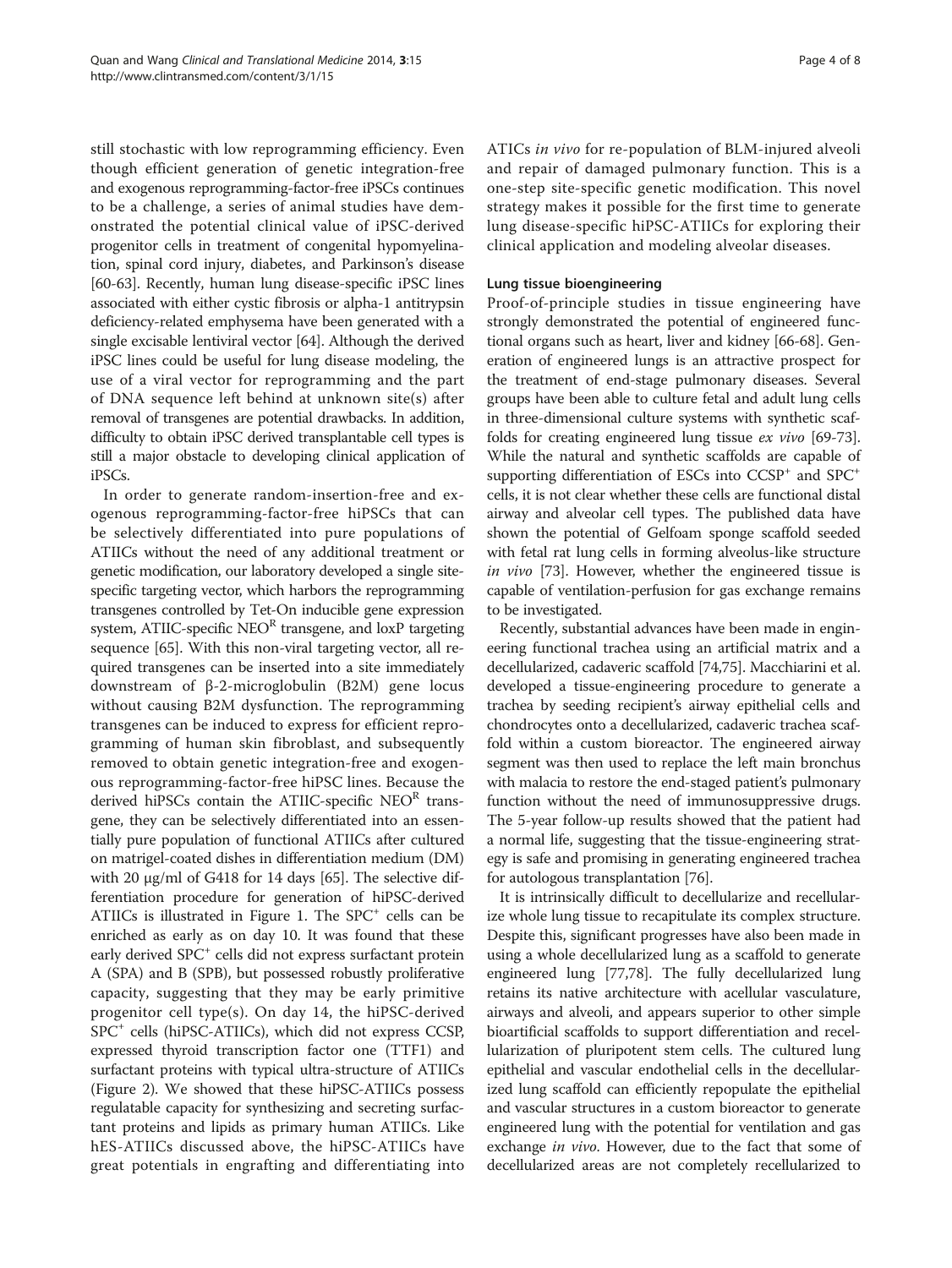still stochastic with low reprogramming efficiency. Even though efficient generation of genetic integration-free and exogenous reprogramming-factor-free iPSCs continues to be a challenge, a series of animal studies have demonstrated the potential clinical value of iPSC-derived progenitor cells in treatment of congenital hypomyelination, spinal cord injury, diabetes, and Parkinson's disease [[60](#page-6-0)-[63\]](#page-6-0). Recently, human lung disease-specific iPSC lines associated with either cystic fibrosis or alpha-1 antitrypsin deficiency-related emphysema have been generated with a single excisable lentiviral vector [\[64\]](#page-6-0). Although the derived iPSC lines could be useful for lung disease modeling, the use of a viral vector for reprogramming and the part of DNA sequence left behind at unknown site(s) after removal of transgenes are potential drawbacks. In addition, difficulty to obtain iPSC derived transplantable cell types is still a major obstacle to developing clinical application of iPSCs.

In order to generate random-insertion-free and exogenous reprogramming-factor-free hiPSCs that can be selectively differentiated into pure populations of ATIICs without the need of any additional treatment or genetic modification, our laboratory developed a single sitespecific targeting vector, which harbors the reprogramming transgenes controlled by Tet-On inducible gene expression system, ATIIC-specific  $NEO<sup>R</sup>$  transgene, and loxP targeting sequence [[65](#page-6-0)]. With this non-viral targeting vector, all required transgenes can be inserted into a site immediately downstream of β-2-microglobulin (B2M) gene locus without causing B2M dysfunction. The reprogramming transgenes can be induced to express for efficient reprogramming of human skin fibroblast, and subsequently removed to obtain genetic integration-free and exogenous reprogramming-factor-free hiPSC lines. Because the derived hiPSCs contain the ATIIC-specific NEOR transgene, they can be selectively differentiated into an essentially pure population of functional ATIICs after cultured on matrigel-coated dishes in differentiation medium (DM) with 20 μg/ml of G418 for 14 days [\[65\]](#page-6-0). The selective differentiation procedure for generation of hiPSC-derived ATIICs is illustrated in Figure [1](#page-4-0). The  $SPC<sup>+</sup>$  cells can be enriched as early as on day 10. It was found that these early derived SPC<sup>+</sup> cells did not express surfactant protein A (SPA) and B (SPB), but possessed robustly proliferative capacity, suggesting that they may be early primitive progenitor cell type(s). On day 14, the hiPSC-derived SPC+ cells (hiPSC-ATIICs), which did not express CCSP, expressed thyroid transcription factor one (TTF1) and surfactant proteins with typical ultra-structure of ATIICs (Figure [2\)](#page-4-0). We showed that these hiPSC-ATIICs possess regulatable capacity for synthesizing and secreting surfactant proteins and lipids as primary human ATIICs. Like hES-ATIICs discussed above, the hiPSC-ATIICs have great potentials in engrafting and differentiating into

ATICs in vivo for re-population of BLM-injured alveoli and repair of damaged pulmonary function. This is a one-step site-specific genetic modification. This novel strategy makes it possible for the first time to generate lung disease-specific hiPSC-ATIICs for exploring their clinical application and modeling alveolar diseases.

#### Lung tissue bioengineering

Proof-of-principle studies in tissue engineering have strongly demonstrated the potential of engineered functional organs such as heart, liver and kidney [\[66](#page-6-0)-[68](#page-6-0)]. Generation of engineered lungs is an attractive prospect for the treatment of end-stage pulmonary diseases. Several groups have been able to culture fetal and adult lung cells in three-dimensional culture systems with synthetic scaffolds for creating engineered lung tissue ex vivo [[69](#page-6-0)-[73](#page-7-0)]. While the natural and synthetic scaffolds are capable of supporting differentiation of ESCs into  $CCSP<sup>+</sup>$  and  $SPC<sup>+</sup>$ cells, it is not clear whether these cells are functional distal airway and alveolar cell types. The published data have shown the potential of Gelfoam sponge scaffold seeded with fetal rat lung cells in forming alveolus-like structure in vivo [\[73\]](#page-7-0). However, whether the engineered tissue is capable of ventilation-perfusion for gas exchange remains to be investigated.

Recently, substantial advances have been made in engineering functional trachea using an artificial matrix and a decellularized, cadaveric scaffold [\[74,75](#page-7-0)]. Macchiarini et al. developed a tissue-engineering procedure to generate a trachea by seeding recipient's airway epithelial cells and chondrocytes onto a decellularized, cadaveric trachea scaffold within a custom bioreactor. The engineered airway segment was then used to replace the left main bronchus with malacia to restore the end-staged patient's pulmonary function without the need of immunosuppressive drugs. The 5-year follow-up results showed that the patient had a normal life, suggesting that the tissue-engineering strategy is safe and promising in generating engineered trachea for autologous transplantation [\[76\]](#page-7-0).

It is intrinsically difficult to decellularize and recellularize whole lung tissue to recapitulate its complex structure. Despite this, significant progresses have also been made in using a whole decellularized lung as a scaffold to generate engineered lung [[77,78\]](#page-7-0). The fully decellularized lung retains its native architecture with acellular vasculature, airways and alveoli, and appears superior to other simple bioartificial scaffolds to support differentiation and recellularization of pluripotent stem cells. The cultured lung epithelial and vascular endothelial cells in the decellularized lung scaffold can efficiently repopulate the epithelial and vascular structures in a custom bioreactor to generate engineered lung with the potential for ventilation and gas exchange in vivo. However, due to the fact that some of decellularized areas are not completely recellularized to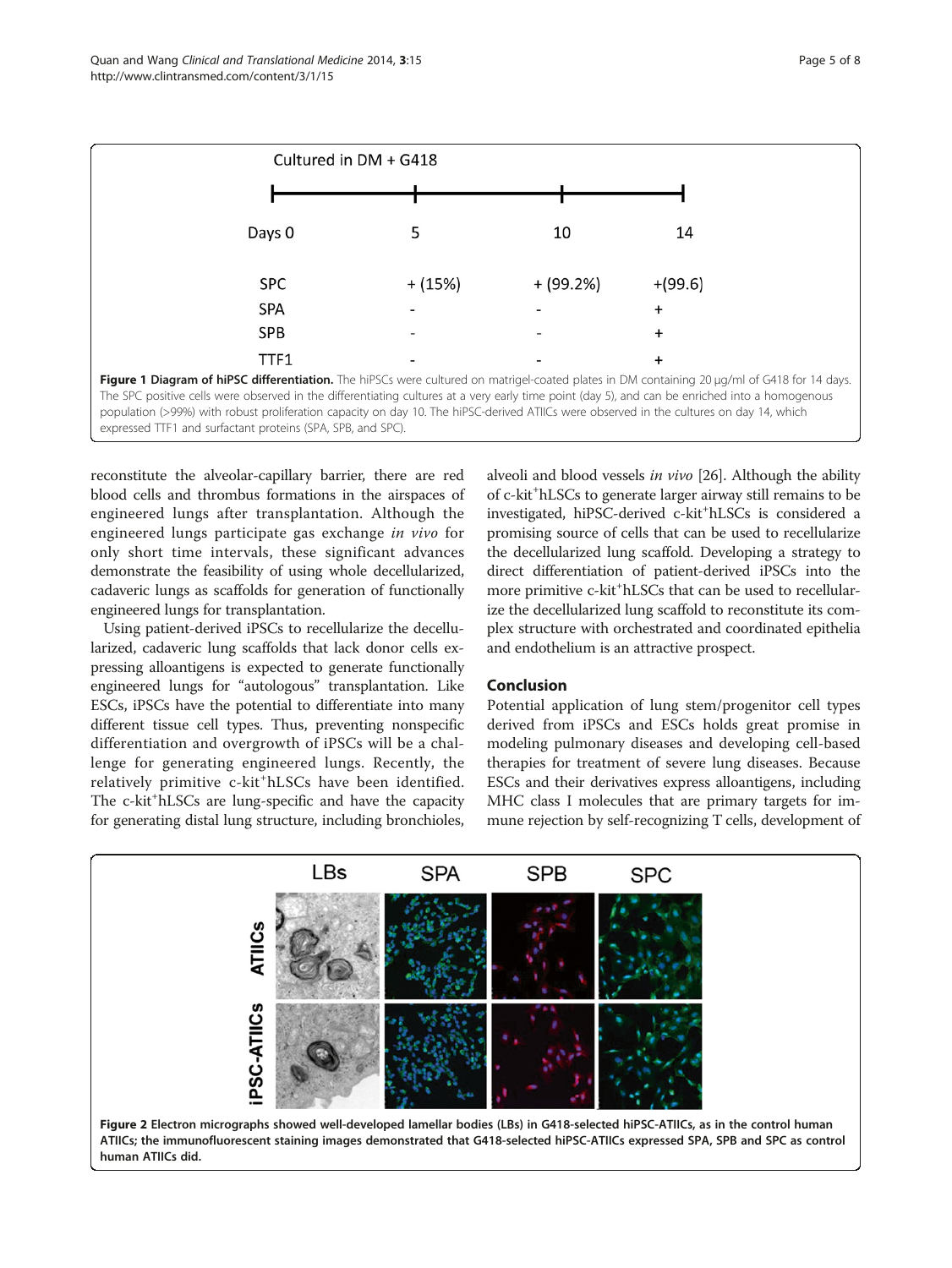<span id="page-4-0"></span>

reconstitute the alveolar-capillary barrier, there are red blood cells and thrombus formations in the airspaces of engineered lungs after transplantation. Although the engineered lungs participate gas exchange in vivo for only short time intervals, these significant advances demonstrate the feasibility of using whole decellularized, cadaveric lungs as scaffolds for generation of functionally engineered lungs for transplantation.

Using patient-derived iPSCs to recellularize the decellularized, cadaveric lung scaffolds that lack donor cells expressing alloantigens is expected to generate functionally engineered lungs for "autologous" transplantation. Like ESCs, iPSCs have the potential to differentiate into many different tissue cell types. Thus, preventing nonspecific differentiation and overgrowth of iPSCs will be a challenge for generating engineered lungs. Recently, the relatively primitive c-kit<sup>+</sup>hLSCs have been identified. The c-kit<sup>+</sup>hLSCs are lung-specific and have the capacity for generating distal lung structure, including bronchioles,

alveoli and blood vessels in vivo [[26](#page-5-0)]. Although the ability of c-kit<sup>+</sup>hLSCs to generate larger airway still remains to be investigated, hiPSC-derived c-kit<sup>+</sup>hLSCs is considered a promising source of cells that can be used to recellularize the decellularized lung scaffold. Developing a strategy to direct differentiation of patient-derived iPSCs into the more primitive c-kit<sup>+</sup>hLSCs that can be used to recellularize the decellularized lung scaffold to reconstitute its complex structure with orchestrated and coordinated epithelia and endothelium is an attractive prospect.

# Conclusion

Potential application of lung stem/progenitor cell types derived from iPSCs and ESCs holds great promise in modeling pulmonary diseases and developing cell-based therapies for treatment of severe lung diseases. Because ESCs and their derivatives express alloantigens, including MHC class I molecules that are primary targets for immune rejection by self-recognizing T cells, development of

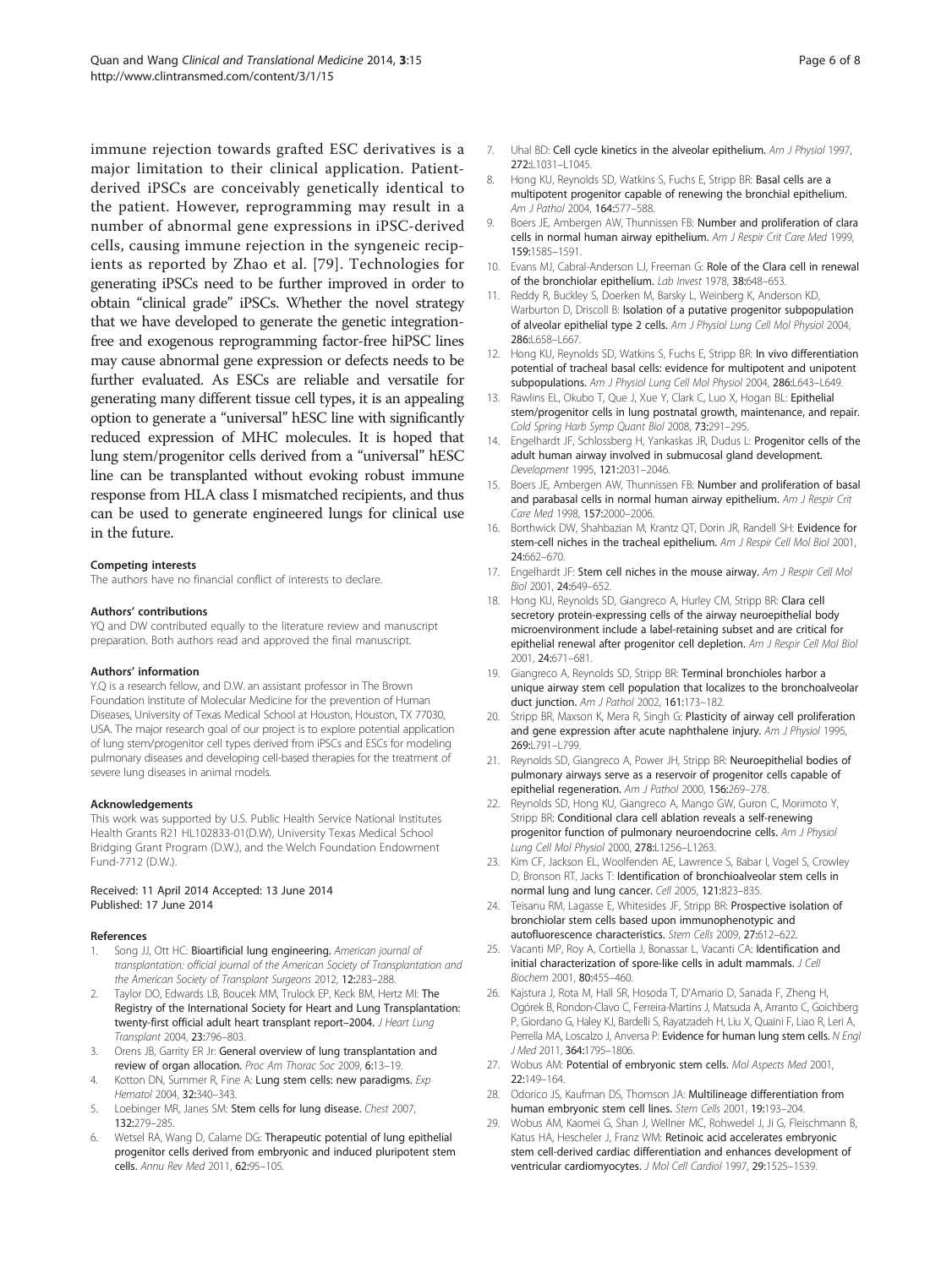<span id="page-5-0"></span>immune rejection towards grafted ESC derivatives is a major limitation to their clinical application. Patientderived iPSCs are conceivably genetically identical to the patient. However, reprogramming may result in a number of abnormal gene expressions in iPSC-derived cells, causing immune rejection in the syngeneic recipients as reported by Zhao et al. [[79](#page-7-0)]. Technologies for generating iPSCs need to be further improved in order to obtain "clinical grade" iPSCs. Whether the novel strategy that we have developed to generate the genetic integrationfree and exogenous reprogramming factor-free hiPSC lines may cause abnormal gene expression or defects needs to be further evaluated. As ESCs are reliable and versatile for generating many different tissue cell types, it is an appealing option to generate a "universal" hESC line with significantly reduced expression of MHC molecules. It is hoped that lung stem/progenitor cells derived from a "universal" hESC line can be transplanted without evoking robust immune response from HLA class I mismatched recipients, and thus can be used to generate engineered lungs for clinical use in the future.

#### Competing interests

The authors have no financial conflict of interests to declare.

#### Authors' contributions

YQ and DW contributed equally to the literature review and manuscript preparation. Both authors read and approved the final manuscript.

#### Authors' information

Y.Q is a research fellow, and D.W. an assistant professor in The Brown Foundation Institute of Molecular Medicine for the prevention of Human Diseases, University of Texas Medical School at Houston, Houston, TX 77030, USA. The major research goal of our project is to explore potential application of lung stem/progenitor cell types derived from iPSCs and ESCs for modeling pulmonary diseases and developing cell-based therapies for the treatment of severe lung diseases in animal models.

#### Acknowledgements

This work was supported by U.S. Public Health Service National Institutes Health Grants R21 HL102833-01(D.W), University Texas Medical School Bridging Grant Program (D.W.), and the Welch Foundation Endowment Fund-7712 (D.W.).

#### Received: 11 April 2014 Accepted: 13 June 2014 Published: 17 June 2014

#### References

- 1. Song JJ, Ott HC: Bioartificial lung engineering. American journal of transplantation: official journal of the American Society of Transplantation and the American Society of Transplant Surgeons 2012, 12:283–288.
- Taylor DO, Edwards LB, Boucek MM, Trulock EP, Keck BM, Hertz MI: The Registry of the International Society for Heart and Lung Transplantation: twenty-first official adult heart transplant report-2004. J Heart Lung Transplant 2004, 23:796–803.
- 3. Orens JB, Garrity ER Jr: General overview of lung transplantation and review of organ allocation. Proc Am Thorac Soc 2009, 6:13–19.
- 4. Kotton DN, Summer R, Fine A: Lung stem cells: new paradigms. Exp Hematol 2004, 32:340–343.
- 5. Loebinger MR, Janes SM: Stem cells for lung disease. Chest 2007, 132:279–285.
- 6. Wetsel RA, Wang D, Calame DG: Therapeutic potential of lung epithelial progenitor cells derived from embryonic and induced pluripotent stem cells. Annu Rev Med 2011, 62:95–105.
- 7. Uhal BD: Cell cycle kinetics in the alveolar epithelium. Am J Physiol 1997, 272:L1031-L1045.
- 8. Hong KU, Reynolds SD, Watkins S, Fuchs E, Stripp BR: Basal cells are a multipotent progenitor capable of renewing the bronchial epithelium. Am J Pathol 2004, 164:577–588.
- 9. Boers JE, Ambergen AW, Thunnissen FB: Number and proliferation of clara cells in normal human airway epithelium. Am J Respir Crit Care Med 1999, 159:1585–1591.
- 10. Evans MJ, Cabral-Anderson LJ, Freeman G: Role of the Clara cell in renewal of the bronchiolar epithelium. Lab Invest 1978, 38:648-653.
- 11. Reddy R, Buckley S, Doerken M, Barsky L, Weinberg K, Anderson KD, Warburton D, Driscoll B: Isolation of a putative progenitor subpopulation of alveolar epithelial type 2 cells. Am J Physiol Lung Cell Mol Physiol 2004, 286:L658-L667
- 12. Hong KU, Reynolds SD, Watkins S, Fuchs E, Stripp BR: In vivo differentiation potential of tracheal basal cells: evidence for multipotent and unipotent subpopulations. Am J Physiol Lung Cell Mol Physiol 2004, 286:L643-L649.
- 13. Rawlins EL, Okubo T, Que J, Xue Y, Clark C, Luo X, Hogan BL: Epithelial stem/progenitor cells in lung postnatal growth, maintenance, and repair. Cold Spring Harb Symp Quant Biol 2008, 73:291–295.
- 14. Engelhardt JF, Schlossberg H, Yankaskas JR, Dudus L: Progenitor cells of the adult human airway involved in submucosal gland development. Development 1995, 121:2031–2046.
- 15. Boers JE, Ambergen AW, Thunnissen FB: Number and proliferation of basal and parabasal cells in normal human airway epithelium. Am J Respir Crit Care Med 1998, 157:2000–2006.
- 16. Borthwick DW, Shahbazian M, Krantz QT, Dorin JR, Randell SH: Evidence for stem-cell niches in the tracheal epithelium. Am J Respir Cell Mol Biol 2001, 24:662–670.
- 17. Engelhardt JF: Stem cell niches in the mouse airway. Am J Respir Cell Mol Biol 2001, 24:649–652.
- 18. Hong KU, Reynolds SD, Giangreco A, Hurley CM, Stripp BR: Clara cell secretory protein-expressing cells of the airway neuroepithelial body microenvironment include a label-retaining subset and are critical for epithelial renewal after progenitor cell depletion. Am J Respir Cell Mol Biol 2001, 24:671–681.
- 19. Giangreco A, Reynolds SD, Stripp BR: Terminal bronchioles harbor a unique airway stem cell population that localizes to the bronchoalveolar duct junction. Am J Pathol 2002, 161:173–182.
- 20. Stripp BR, Maxson K, Mera R, Singh G: Plasticity of airway cell proliferation and gene expression after acute naphthalene injury. Am J Physiol 1995, 269: 791-L799.
- 21. Reynolds SD, Giangreco A, Power JH, Stripp BR: Neuroepithelial bodies of pulmonary airways serve as a reservoir of progenitor cells capable of epithelial regeneration. Am J Pathol 2000, 156:269–278.
- 22. Reynolds SD, Hong KU, Giangreco A, Mango GW, Guron C, Morimoto Y, Stripp BR: Conditional clara cell ablation reveals a self-renewing progenitor function of pulmonary neuroendocrine cells. Am J Physiol Lung Cell Mol Physiol 2000, 278:L1256–L1263.
- 23. Kim CF, Jackson EL, Woolfenden AE, Lawrence S, Babar I, Vogel S, Crowley D, Bronson RT, Jacks T: Identification of bronchioalveolar stem cells in normal lung and lung cancer. Cell 2005, 121:823–835.
- 24. Teisanu RM, Lagasse E, Whitesides JF, Stripp BR: Prospective isolation of bronchiolar stem cells based upon immunophenotypic and autofluorescence characteristics. Stem Cells 2009, 27:612–622.
- 25. Vacanti MP, Roy A, Cortiella J, Bonassar L, Vacanti CA: Identification and initial characterization of spore-like cells in adult mammals. J Cell Biochem 2001, 80:455–460.
- 26. Kajstura J, Rota M, Hall SR, Hosoda T, D'Amario D, Sanada F, Zheng H, Ogórek B, Rondon-Clavo C, Ferreira-Martins J, Matsuda A, Arranto C, Goichberg P, Giordano G, Haley KJ, Bardelli S, Rayatzadeh H, Liu X, Quaini F, Liao R, Leri A, Perrella MA, Loscalzo J, Anversa P: Evidence for human lung stem cells. N Engl J Med 2011, 364:1795–1806.
- 27. Wobus AM: Potential of embryonic stem cells. Mol Aspects Med 2001, 22:149–164.
- 28. Odorico JS, Kaufman DS, Thomson JA: Multilineage differentiation from human embryonic stem cell lines. Stem Cells 2001, 19:193–204.
- 29. Wobus AM, Kaomei G, Shan J, Wellner MC, Rohwedel J, Ji G, Fleischmann B, Katus HA, Hescheler J, Franz WM: Retinoic acid accelerates embryonic stem cell-derived cardiac differentiation and enhances development of ventricular cardiomyocytes. J Mol Cell Cardiol 1997, 29:1525-1539.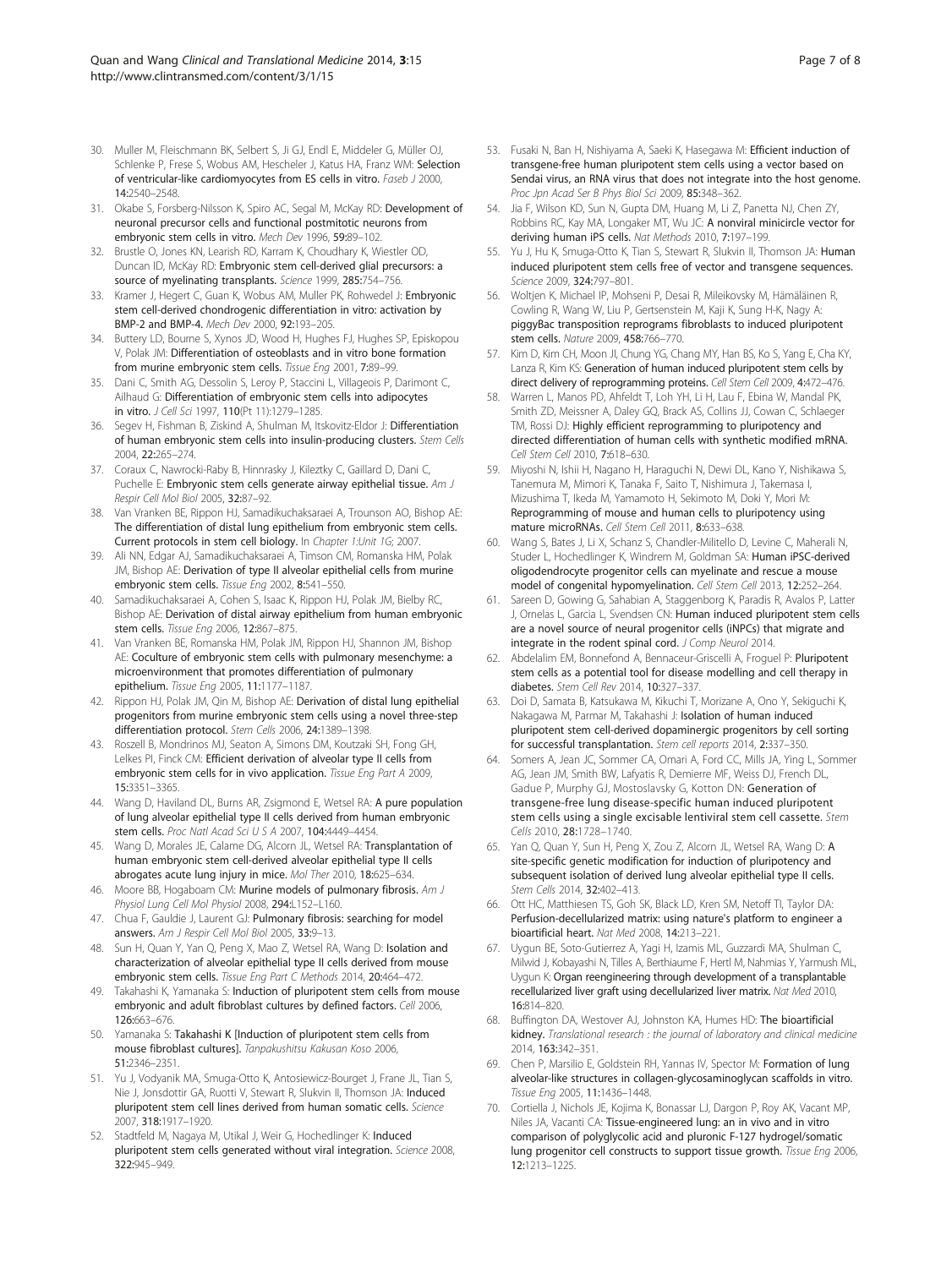- <span id="page-6-0"></span>30. Muller M, Fleischmann BK, Selbert S, Ji GJ, Endl E, Middeler G, Müller OJ, Schlenke P, Frese S, Wobus AM, Hescheler J, Katus HA, Franz WM: Selection of ventricular-like cardiomyocytes from ES cells in vitro. Faseb J 2000, 14:2540–2548.
- 31. Okabe S, Forsberg-Nilsson K, Spiro AC, Segal M, McKay RD: Development of neuronal precursor cells and functional postmitotic neurons from embryonic stem cells in vitro. Mech Dev 1996, 59:89–102.
- 32. Brustle O, Jones KN, Learish RD, Karram K, Choudhary K, Wiestler OD, Duncan ID, McKay RD: Embryonic stem cell-derived glial precursors: a source of myelinating transplants. Science 1999, 285:754-756.
- 33. Kramer J, Hegert C, Guan K, Wobus AM, Muller PK, Rohwedel J: Embryonic stem cell-derived chondrogenic differentiation in vitro: activation by BMP-2 and BMP-4. Mech Dev 2000, 92:193–205.
- 34. Buttery LD, Bourne S, Xynos JD, Wood H, Hughes FJ, Hughes SP, Episkopou V, Polak JM: Differentiation of osteoblasts and in vitro bone formation from murine embryonic stem cells. Tissue Eng 2001, 7:89–99.
- 35. Dani C, Smith AG, Dessolin S, Leroy P, Staccini L, Villageois P, Darimont C, Ailhaud G: Differentiation of embryonic stem cells into adipocytes in vitro. J Cell Sci 1997, 110(Pt 11):1279–1285.
- 36. Segev H, Fishman B, Ziskind A, Shulman M, Itskovitz-Eldor J: Differentiation of human embryonic stem cells into insulin-producing clusters. Stem Cells 2004, 22:265–274.
- 37. Coraux C, Nawrocki-Raby B, Hinnrasky J, Kileztky C, Gaillard D, Dani C, Puchelle E: Embryonic stem cells generate airway epithelial tissue. Am J Respir Cell Mol Biol 2005, 32:87–92.
- 38. Van Vranken BE, Rippon HJ, Samadikuchaksaraei A, Trounson AO, Bishop AE: The differentiation of distal lung epithelium from embryonic stem cells. Current protocols in stem cell biology. In Chapter 1:Unit 1G; 2007.
- 39. Ali NN, Edgar AJ, Samadikuchaksaraei A, Timson CM, Romanska HM, Polak JM, Bishop AE: Derivation of type II alveolar epithelial cells from murine embryonic stem cells. Tissue Eng 2002, 8:541-550.
- Samadikuchaksaraei A, Cohen S, Isaac K, Rippon HJ, Polak JM, Bielby RC, Bishop AE: Derivation of distal airway epithelium from human embryonic stem cells. Tissue Eng 2006, 12:867–875.
- 41. Van Vranken BE, Romanska HM, Polak JM, Rippon HJ, Shannon JM, Bishop AE: Coculture of embryonic stem cells with pulmonary mesenchyme: a microenvironment that promotes differentiation of pulmonary epithelium. Tissue Eng 2005, 11:1177–1187.
- 42. Rippon HJ, Polak JM, Qin M, Bishop AE: Derivation of distal lung epithelial progenitors from murine embryonic stem cells using a novel three-step differentiation protocol. Stem Cells 2006, 24:1389–1398.
- 43. Roszell B, Mondrinos MJ, Seaton A, Simons DM, Koutzaki SH, Fong GH, Lelkes PI, Finck CM: Efficient derivation of alveolar type II cells from embryonic stem cells for in vivo application. Tissue Eng Part A 2009, 15:3351–3365.
- 44. Wang D, Haviland DL, Burns AR, Zsigmond E, Wetsel RA: A pure population of lung alveolar epithelial type II cells derived from human embryonic stem cells. Proc Natl Acad Sci U S A 2007, 104:4449–4454.
- 45. Wang D, Morales JE, Calame DG, Alcorn JL, Wetsel RA: Transplantation of human embryonic stem cell-derived alveolar epithelial type II cells abrogates acute lung injury in mice. Mol Ther 2010, 18:625–634.
- 46. Moore BB, Hogaboam CM: Murine models of pulmonary fibrosis. Am J Physiol Lung Cell Mol Physiol 2008, 294:L152-L160.
- 47. Chua F, Gauldie J, Laurent GJ: Pulmonary fibrosis: searching for model answers. Am J Respir Cell Mol Biol 2005, 33:9–13.
- 48. Sun H, Quan Y, Yan Q, Peng X, Mao Z, Wetsel RA, Wang D: Isolation and characterization of alveolar epithelial type II cells derived from mouse embryonic stem cells. Tissue Eng Part C Methods 2014, 20:464–472.
- 49. Takahashi K, Yamanaka S: Induction of pluripotent stem cells from mouse embryonic and adult fibroblast cultures by defined factors. Cell 2006, 126:663–676.
- 50. Yamanaka S: Takahashi K [Induction of pluripotent stem cells from mouse fibroblast cultures]. Tanpakushitsu Kakusan Koso 2006, 51:2346–2351.
- 51. Yu J, Vodyanik MA, Smuga-Otto K, Antosiewicz-Bourget J, Frane JL, Tian S, Nie J, Jonsdottir GA, Ruotti V, Stewart R, Slukvin II, Thomson JA: Induced pluripotent stem cell lines derived from human somatic cells. Science 2007, 318:1917–1920.
- 52. Stadtfeld M, Nagaya M, Utikal J, Weir G, Hochedlinger K: Induced pluripotent stem cells generated without viral integration. Science 2008, 322:945–949.
- 53. Fusaki N, Ban H, Nishiyama A, Saeki K, Hasegawa M: Efficient induction of transgene-free human pluripotent stem cells using a vector based on Sendai virus, an RNA virus that does not integrate into the host genome. Proc Jpn Acad Ser B Phys Biol Sci 2009, 85:348–362.
- 54. Jia F, Wilson KD, Sun N, Gupta DM, Huang M, Li Z, Panetta NJ, Chen ZY, Robbins RC, Kay MA, Longaker MT, Wu JC: A nonviral minicircle vector for deriving human iPS cells. Nat Methods 2010, 7:197–199.
- Yu J, Hu K, Smuga-Otto K, Tian S, Stewart R, Slukvin II, Thomson JA: Human induced pluripotent stem cells free of vector and transgene sequences. Science 2009, 324:797–801.
- 56. Woltjen K, Michael IP, Mohseni P, Desai R, Mileikovsky M, Hämäläinen R, Cowling R, Wang W, Liu P, Gertsenstein M, Kaji K, Sung H-K, Nagy A: piggyBac transposition reprograms fibroblasts to induced pluripotent stem cells. Nature 2009, 458:766–770.
- 57. Kim D, Kim CH, Moon JI, Chung YG, Chang MY, Han BS, Ko S, Yang E, Cha KY, Lanza R, Kim KS: Generation of human induced pluripotent stem cells by direct delivery of reprogramming proteins. Cell Stem Cell 2009, 4:472-476.
- Warren L, Manos PD, Ahfeldt T, Loh YH, Li H, Lau F, Ebina W, Mandal PK, Smith ZD, Meissner A, Daley GQ, Brack AS, Collins JJ, Cowan C, Schlaeger TM, Rossi DJ: Highly efficient reprogramming to pluripotency and directed differentiation of human cells with synthetic modified mRNA. Cell Stem Cell 2010, 7:618–630.
- 59. Miyoshi N, Ishii H, Nagano H, Haraguchi N, Dewi DL, Kano Y, Nishikawa S, Tanemura M, Mimori K, Tanaka F, Saito T, Nishimura J, Takemasa I, Mizushima T, Ikeda M, Yamamoto H, Sekimoto M, Doki Y, Mori M: Reprogramming of mouse and human cells to pluripotency using mature microRNAs. Cell Stem Cell 2011, 8:633–638.
- 60. Wang S, Bates J, Li X, Schanz S, Chandler-Militello D, Levine C, Maherali N, Studer L, Hochedlinger K, Windrem M, Goldman SA: Human iPSC-derived oligodendrocyte progenitor cells can myelinate and rescue a mouse model of congenital hypomyelination. Cell Stem Cell 2013, 12:252–264.
- 61. Sareen D, Gowing G, Sahabian A, Staggenborg K, Paradis R, Avalos P, Latter J, Ornelas L, Garcia L, Svendsen CN: Human induced pluripotent stem cells are a novel source of neural progenitor cells (iNPCs) that migrate and integrate in the rodent spinal cord. J Comp Neurol 2014.
- 62. Abdelalim EM, Bonnefond A, Bennaceur-Griscelli A, Froguel P: Pluripotent stem cells as a potential tool for disease modelling and cell therapy in diabetes. Stem Cell Rev 2014, 10:327–337.
- Doi D, Samata B, Katsukawa M, Kikuchi T, Morizane A, Ono Y, Sekiguchi K, Nakagawa M, Parmar M, Takahashi J: Isolation of human induced pluripotent stem cell-derived dopaminergic progenitors by cell sorting for successful transplantation. Stem cell reports 2014, 2:337–350.
- 64. Somers A, Jean JC, Sommer CA, Omari A, Ford CC, Mills JA, Ying L, Sommer AG, Jean JM, Smith BW, Lafyatis R, Demierre MF, Weiss DJ, French DL, Gadue P, Murphy GJ, Mostoslavsky G, Kotton DN: Generation of transgene-free lung disease-specific human induced pluripotent stem cells using a single excisable lentiviral stem cell cassette. Stem Cells 2010, 28:1728–1740.
- 65. Yan Q, Quan Y, Sun H, Peng X, Zou Z, Alcorn JL, Wetsel RA, Wang D: A site-specific genetic modification for induction of pluripotency and subsequent isolation of derived lung alveolar epithelial type II cells. Stem Cells 2014, 32:402–413.
- 66. Ott HC, Matthiesen TS, Goh SK, Black LD, Kren SM, Netoff TI, Taylor DA: Perfusion-decellularized matrix: using nature's platform to engineer a bioartificial heart. Nat Med 2008, 14:213–221.
- 67. Uygun BE, Soto-Gutierrez A, Yagi H, Izamis ML, Guzzardi MA, Shulman C, Milwid J, Kobayashi N, Tilles A, Berthiaume F, Hertl M, Nahmias Y, Yarmush ML, Uygun K: Organ reengineering through development of a transplantable recellularized liver graft using decellularized liver matrix. Nat Med 2010, 16:814–820.
- 68. Buffington DA, Westover AJ, Johnston KA, Humes HD: The bioartificial kidney. Translational research : the journal of laboratory and clinical medicine 2014, 163:342–351.
- Chen P, Marsilio E, Goldstein RH, Yannas IV, Spector M: Formation of lung alveolar-like structures in collagen-glycosaminoglycan scaffolds in vitro. Tissue Eng 2005, 11:1436–1448.
- 70. Cortiella J, Nichols JE, Kojima K, Bonassar LJ, Dargon P, Roy AK, Vacant MP, Niles JA, Vacanti CA: Tissue-engineered lung: an in vivo and in vitro comparison of polyglycolic acid and pluronic F-127 hydrogel/somatic lung progenitor cell constructs to support tissue growth. Tissue Eng 2006, 12:1213–1225.